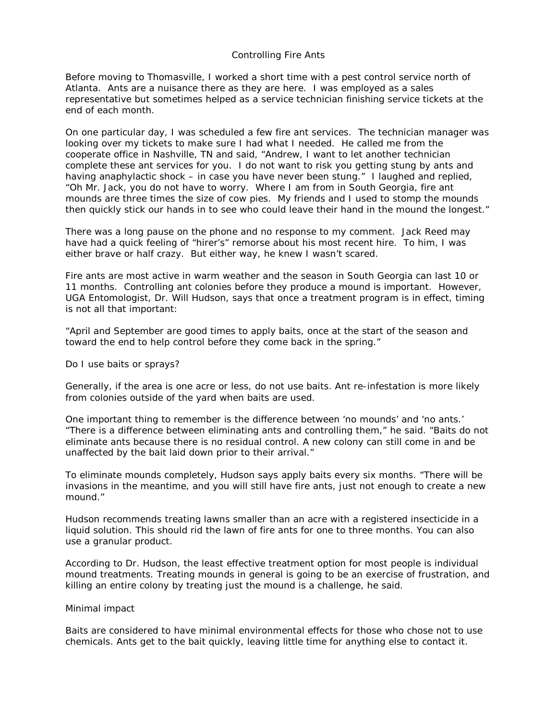## Controlling Fire Ants

Before moving to Thomasville, I worked a short time with a pest control service north of Atlanta. Ants are a nuisance there as they are here. I was employed as a sales representative but sometimes helped as a service technician finishing service tickets at the end of each month.

On one particular day, I was scheduled a few fire ant services. The technician manager was looking over my tickets to make sure I had what I needed. He called me from the cooperate office in Nashville, TN and said, "Andrew, I want to let another technician complete these ant services for you. I do not want to risk you getting stung by ants and having anaphylactic shock – in case you have never been stung." I laughed and replied, "Oh Mr. Jack, you do not have to worry. Where I am from in South Georgia, fire ant mounds are three times the size of cow pies. My friends and I used to stomp the mounds then quickly stick our hands in to see who could leave their hand in the mound the longest."

There was a long pause on the phone and no response to my comment. Jack Reed may have had a quick feeling of "hirer's" remorse about his most recent hire. To him, I was either brave or half crazy. But either way, he knew I wasn't scared.

Fire ants are most active in warm weather and the season in South Georgia can last 10 or 11 months. Controlling ant colonies before they produce a mound is important. However, UGA Entomologist, Dr. Will Hudson, says that once a treatment program is in effect, timing is not all that important:

"April and September are good times to apply baits, once at the start of the season and toward the end to help control before they come back in the spring."

## *Do I use baits or sprays?*

Generally, if the area is one acre or less, do not use baits. Ant re-infestation is more likely from colonies outside of the yard when baits are used.

One important thing to remember is the difference between 'no mounds' and 'no ants.' "There is a difference between eliminating ants and controlling them," he said. "Baits do not eliminate ants because there is no residual control. A new colony can still come in and be unaffected by the bait laid down prior to their arrival."

To eliminate mounds completely, Hudson says apply baits every six months. "There will be invasions in the meantime, and you will still have fire ants, just not enough to create a new mound."

Hudson recommends treating lawns smaller than an acre with a registered insecticide in a liquid solution. This should rid the lawn of fire ants for one to three months. You can also use a granular product.

According to Dr. Hudson, the least effective treatment option for most people is individual mound treatments. Treating mounds in general is going to be an exercise of frustration, and killing an entire colony by treating just the mound is a challenge, he said.

## *Minimal impact*

Baits are considered to have minimal environmental effects for those who chose not to use chemicals. Ants get to the bait quickly, leaving little time for anything else to contact it.